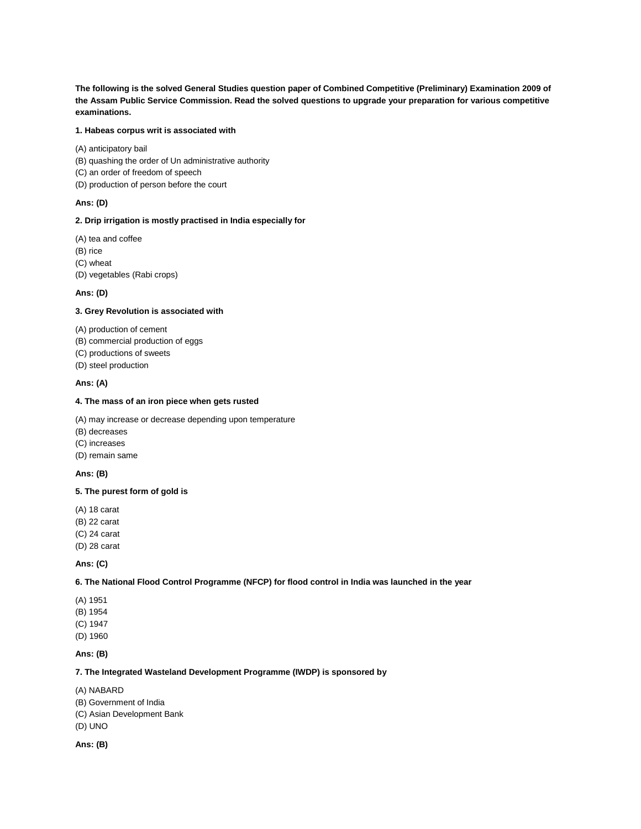**The following is the solved General Studies question paper of Combined Competitive (Preliminary) Examination 2009 of the Assam Public Service Commission. Read the solved questions to upgrade your preparation for various competitive examinations.**

# **1. Habeas corpus writ is associated with**

(A) anticipatory bail (B) quashing the order of Un administrative authority

- (C) an order of freedom of speech
- (D) production of person before the court

### **Ans: (D)**

#### **2. Drip irrigation is mostly practised in India especially for**

(A) tea and coffee (B) rice (C) wheat (D) vegetables (Rabi crops)

### **Ans: (D)**

#### **3. Grey Revolution is associated with**

(A) production of cement

- (B) commercial production of eggs
- (C) productions of sweets
- (D) steel production

### **Ans: (A)**

#### **4. The mass of an iron piece when gets rusted**

(A) may increase or decrease depending upon temperature

- (B) decreases
- (C) increases
- (D) remain same

## **Ans: (B)**

### **5. The purest form of gold is**

(A) 18 carat

(B) 22 carat

(C) 24 carat

(D) 28 carat

## **Ans: (C)**

## **6. The National Flood Control Programme (NFCP) for flood control in India was launched in the year**

- (A) 1951
- (B) 1954
- (C) 1947
- (D) 1960

## **Ans: (B)**

## **7. The Integrated Wasteland Development Programme (IWDP) is sponsored by**

- (A) NABARD
- (B) Government of India
- (C) Asian Development Bank
- (D) UNO

**Ans: (B)**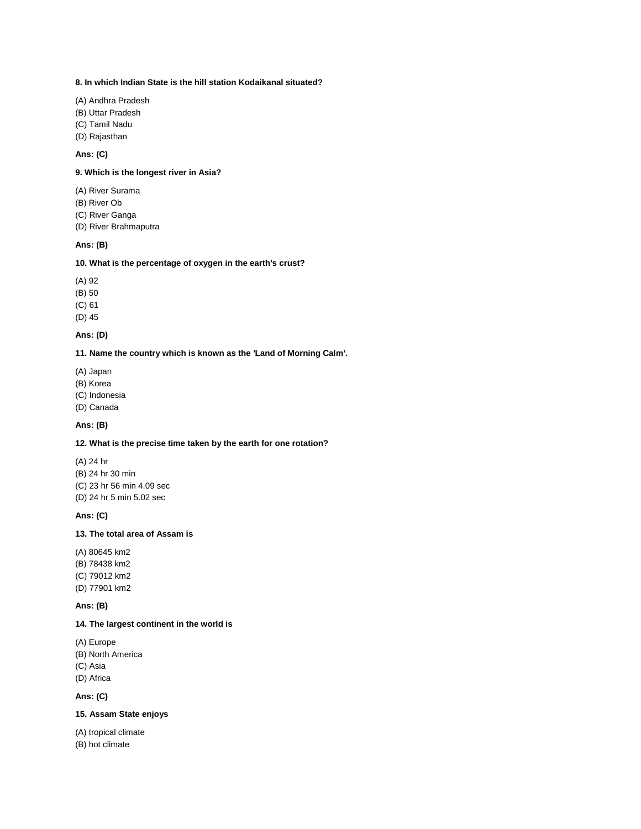#### **8. In which Indian State is the hill station Kodaikanal situated?**

- (A) Andhra Pradesh
- (B) Uttar Pradesh
- (C) Tamil Nadu
- (D) Rajasthan

# **Ans: (C)**

# **9. Which is the longest river in Asia?**

- (A) River Surama
- (B) River Ob
- (C) River Ganga
- (D) River Brahmaputra

#### **Ans: (B)**

### **10. What is the percentage of oxygen in the earth's crust?**

- (A) 92
- (B) 50

(C) 61

(D) 45

### **Ans: (D)**

#### **11. Name the country which is known as the 'Land of Morning Calm'.**

- (A) Japan
- (B) Korea
- (C) Indonesia
- (D) Canada

# **Ans: (B)**

# **12. What is the precise time taken by the earth for one rotation?**

(A) 24 hr (B) 24 hr 30 min (C) 23 hr 56 min 4.09 sec (D) 24 hr 5 min 5.02 sec

### **Ans: (C)**

### **13. The total area of Assam is**

(A) 80645 km2 (B) 78438 km2 (C) 79012 km2 (D) 77901 km2

## **Ans: (B)**

#### **14. The largest continent in the world is**

(A) Europe (B) North America (C) Asia (D) Africa

### **Ans: (C)**

# **15. Assam State enjoys**

(A) tropical climate (B) hot climate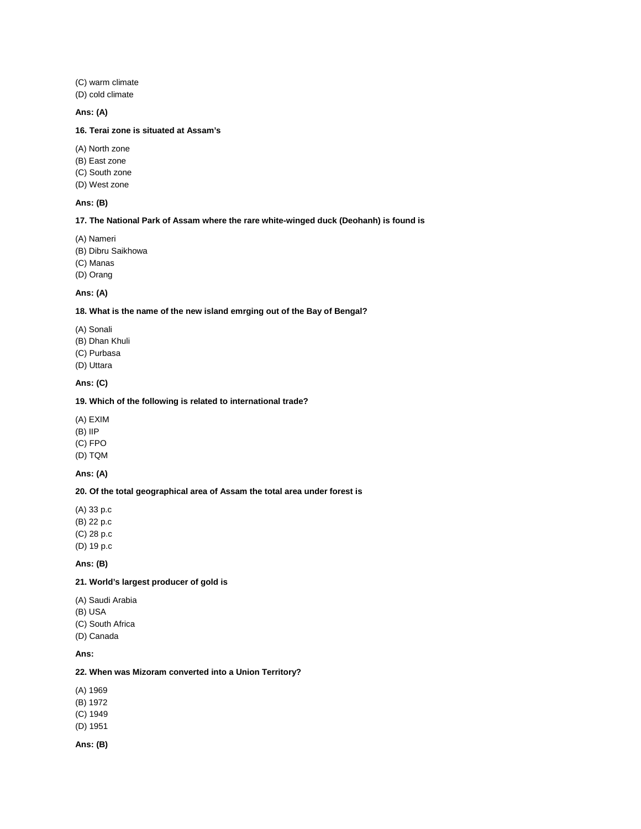(C) warm climate (D) cold climate

#### **Ans: (A)**

### **16. Terai zone is situated at Assam's**

- (A) North zone
- (B) East zone
- (C) South zone
- (D) West zone

### **Ans: (B)**

#### **17. The National Park of Assam where the rare white-winged duck (Deohanh) is found is**

- (A) Nameri
- (B) Dibru Saikhowa
- (C) Manas
- (D) Orang

## **Ans: (A)**

# **18. What is the name of the new island emrging out of the Bay of Bengal?**

- (A) Sonali
- (B) Dhan Khuli
- (C) Purbasa
- (D) Uttara

### **Ans: (C)**

#### **19. Which of the following is related to international trade?**

- (A) EXIM
- (B) IIP
- (C) FPO
- (D) TQM

## **Ans: (A)**

#### **20. Of the total geographical area of Assam the total area under forest is**

- (A) 33 p.c (B) 22 p.c (C) 28 p.c
- (D) 19 p.c

# **Ans: (B)**

# **21. World's largest producer of gold is**

- (A) Saudi Arabia
- (B) USA
- (C) South Africa
- (D) Canada

# **Ans:**

# **22. When was Mizoram converted into a Union Territory?**

- (A) 1969
- (B) 1972
- (C) 1949
- (D) 1951
- **Ans: (B)**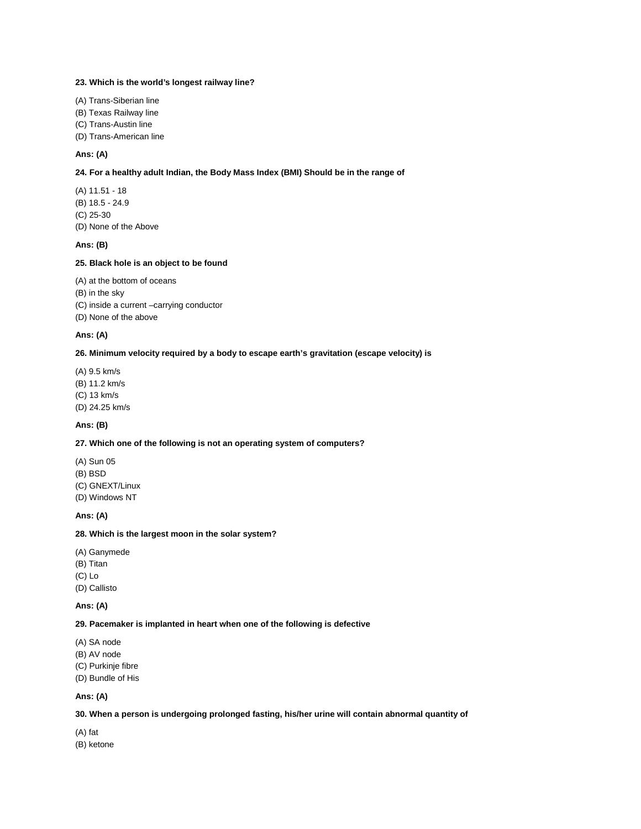#### **23. Which is the world's longest railway line?**

- (A) Trans-Siberian line
- (B) Texas Railway line
- (C) Trans-Austin line
- (D) Trans-American line

# **Ans: (A)**

### **24. For a healthy adult Indian, the Body Mass Index (BMI) Should be in the range of**

(A) 11.51 - 18 (B) 18.5 - 24.9 (C) 25-30 (D) None of the Above

#### **Ans: (B)**

### **25. Black hole is an object to be found**

(A) at the bottom of oceans (B) in the sky (C) inside a current –carrying conductor (D) None of the above

#### **Ans: (A)**

#### **26. Minimum velocity required by a body to escape earth's gravitation (escape velocity) is**

(A) 9.5 km/s (B) 11.2 km/s (C) 13 km/s (D) 24.25 km/s

### **Ans: (B)**

### **27. Which one of the following is not an operating system of computers?**

(A) Sun 05 (B) BSD (C) GNEXT/Linux (D) Windows NT

#### **Ans: (A)**

### **28. Which is the largest moon in the solar system?**

- (A) Ganymede
- (B) Titan
- (C) Lo
- (D) Callisto

## **Ans: (A)**

#### **29. Pacemaker is implanted in heart when one of the following is defective**

- (A) SA node (B) AV node (C) Purkinje fibre
- (D) Bundle of His

## **Ans: (A)**

### **30. When a person is undergoing prolonged fasting, his/her urine will contain abnormal quantity of**

(A) fat

(B) ketone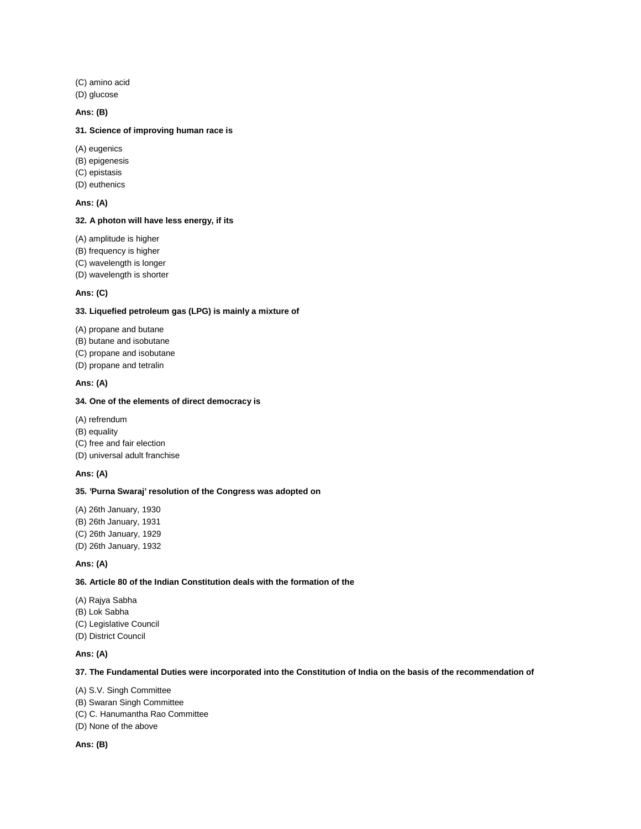(C) amino acid

(D) glucose

### **Ans: (B)**

### **31. Science of improving human race is**

- (A) eugenics
- (B) epigenesis
- (C) epistasis
- (D) euthenics

# **Ans: (A)**

### **32. A photon will have less energy, if its**

(A) amplitude is higher

(B) frequency is higher

(C) wavelength is longer

(D) wavelength is shorter

# **Ans: (C)**

# **33. Liquefied petroleum gas (LPG) is mainly a mixture of**

- (A) propane and butane
- (B) butane and isobutane
- (C) propane and isobutane
- (D) propane and tetralin

### **Ans: (A)**

## **34. One of the elements of direct democracy is**

- (A) refrendum
- (B) equality
- (C) free and fair election
- (D) universal adult franchise

# **Ans: (A)**

#### **35. 'Purna Swaraj' resolution of the Congress was adopted on**

(A) 26th January, 1930 (B) 26th January, 1931 (C) 26th January, 1929 (D) 26th January, 1932

### **Ans: (A)**

### **36. Article 80 of the Indian Constitution deals with the formation of the**

- (A) Rajya Sabha
- (B) Lok Sabha
- (C) Legislative Council
- (D) District Council

## **Ans: (A)**

### **37. The Fundamental Duties were incorporated into the Constitution of India on the basis of the recommendation of**

- (A) S.V. Singh Committee
- (B) Swaran Singh Committee
- (C) C. Hanumantha Rao Committee
- (D) None of the above

## **Ans: (B)**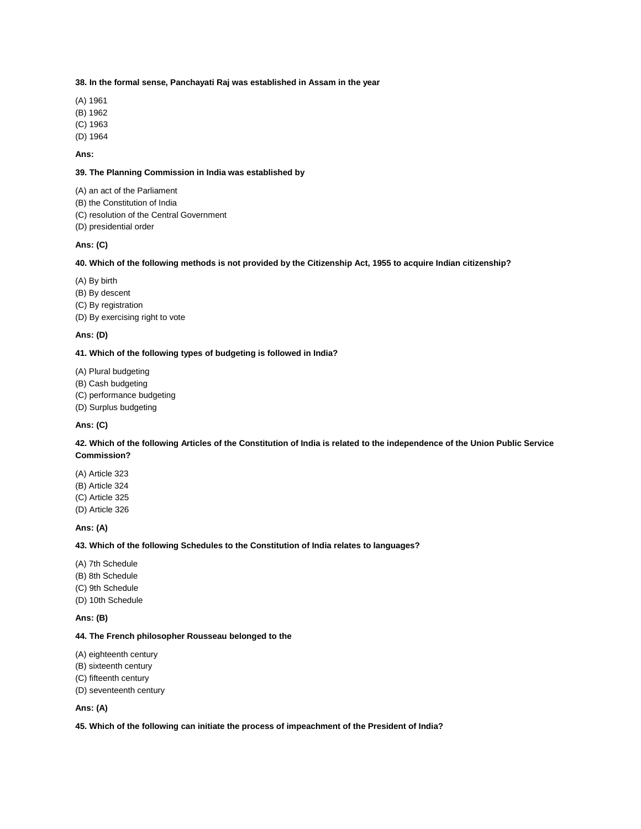#### **38. In the formal sense, Panchayati Raj was established in Assam in the year**

- (A) 1961
- (B) 1962
- (C) 1963
- (D) 1964

### **Ans:**

### **39. The Planning Commission in India was established by**

(A) an act of the Parliament

- (B) the Constitution of India
- (C) resolution of the Central Government
- (D) presidential order

#### **Ans: (C)**

### **40. Which of the following methods is not provided by the Citizenship Act, 1955 to acquire Indian citizenship?**

- (A) By birth
- (B) By descent
- (C) By registration
- (D) By exercising right to vote

#### **Ans: (D)**

#### **41. Which of the following types of budgeting is followed in India?**

- (A) Plural budgeting
- (B) Cash budgeting
- (C) performance budgeting
- (D) Surplus budgeting

## **Ans: (C)**

## **42. Which of the following Articles of the Constitution of India is related to the independence of the Union Public Service Commission?**

(A) Article 323 (B) Article 324 (C) Article 325 (D) Article 326

#### **Ans: (A)**

### **43. Which of the following Schedules to the Constitution of India relates to languages?**

- (A) 7th Schedule
- (B) 8th Schedule
- (C) 9th Schedule
- (D) 10th Schedule

**Ans: (B)**

## **44. The French philosopher Rousseau belonged to the**

- (A) eighteenth century
- (B) sixteenth century
- (C) fifteenth century
- (D) seventeenth century

### **Ans: (A)**

**45. Which of the following can initiate the process of impeachment of the President of India?**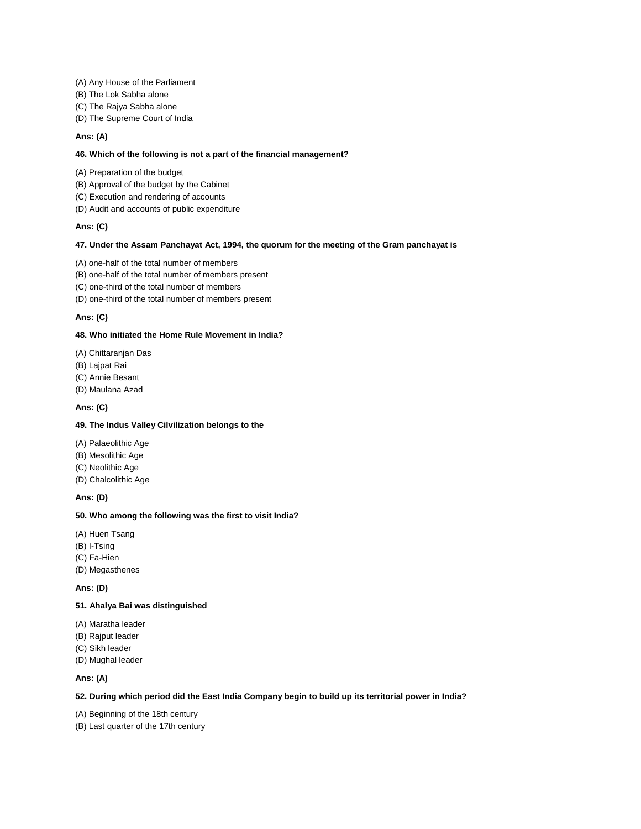- (A) Any House of the Parliament
- (B) The Lok Sabha alone
- (C) The Rajya Sabha alone
- (D) The Supreme Court of India

#### **Ans: (A)**

### **46. Which of the following is not a part of the financial management?**

- (A) Preparation of the budget
- (B) Approval of the budget by the Cabinet
- (C) Execution and rendering of accounts
- (D) Audit and accounts of public expenditure

#### **Ans: (C)**

#### **47. Under the Assam Panchayat Act, 1994, the quorum for the meeting of the Gram panchayat is**

- (A) one-half of the total number of members
- (B) one-half of the total number of members present
- (C) one-third of the total number of members
- (D) one-third of the total number of members present

## **Ans: (C)**

#### **48. Who initiated the Home Rule Movement in India?**

- (A) Chittaranjan Das
- (B) Lajpat Rai
- (C) Annie Besant
- (D) Maulana Azad

### **Ans: (C)**

### **49. The Indus Valley Cilvilization belongs to the**

- (A) Palaeolithic Age
- (B) Mesolithic Age
- (C) Neolithic Age
- (D) Chalcolithic Age

### **Ans: (D)**

#### **50. Who among the following was the first to visit India?**

- (A) Huen Tsang
- (B) I-Tsing
- (C) Fa-Hien
- (D) Megasthenes

#### **Ans: (D)**

## **51. Ahalya Bai was distinguished**

- (A) Maratha leader
- (B) Rajput leader
- (C) Sikh leader
- (D) Mughal leader

#### **Ans: (A)**

#### **52. During which period did the East India Company begin to build up its territorial power in India?**

(A) Beginning of the 18th century

(B) Last quarter of the 17th century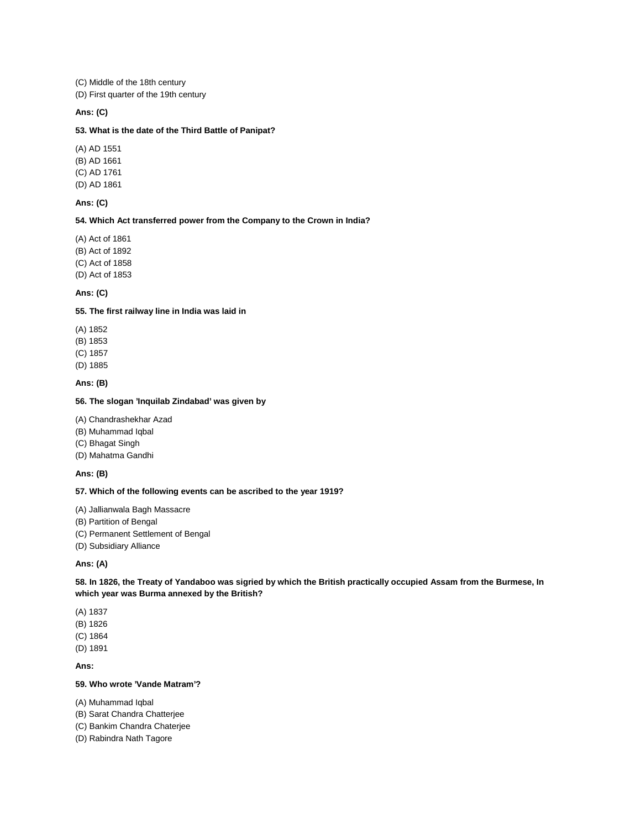(C) Middle of the 18th century

(D) First quarter of the 19th century

## **Ans: (C)**

### **53. What is the date of the Third Battle of Panipat?**

(A) AD 1551 (B) AD 1661 (C) AD 1761 (D) AD 1861

## **Ans: (C)**

#### **54. Which Act transferred power from the Company to the Crown in India?**

(A) Act of 1861 (B) Act of 1892 (C) Act of 1858 (D) Act of 1853

## **Ans: (C)**

## **55. The first railway line in India was laid in**

- (A) 1852
- (B) 1853
- (C) 1857
- (D) 1885

### **Ans: (B)**

## **56. The slogan 'Inquilab Zindabad' was given by**

- (A) Chandrashekhar Azad
- (B) Muhammad Iqbal
- (C) Bhagat Singh
- (D) Mahatma Gandhi

## **Ans: (B)**

#### **57. Which of the following events can be ascribed to the year 1919?**

#### (A) Jallianwala Bagh Massacre

- (B) Partition of Bengal
- (C) Permanent Settlement of Bengal
- (D) Subsidiary Alliance

## **Ans: (A)**

### **58. In 1826, the Treaty of Yandaboo was sigried by which the British practically occupied Assam from the Burmese, In which year was Burma annexed by the British?**

- (A) 1837
- (B) 1826
- (C) 1864
- (D) 1891

### **Ans:**

### **59. Who wrote 'Vande Matram'?**

- (A) Muhammad Iqbal
- (B) Sarat Chandra Chatterjee
- (C) Bankim Chandra Chaterjee
- (D) Rabindra Nath Tagore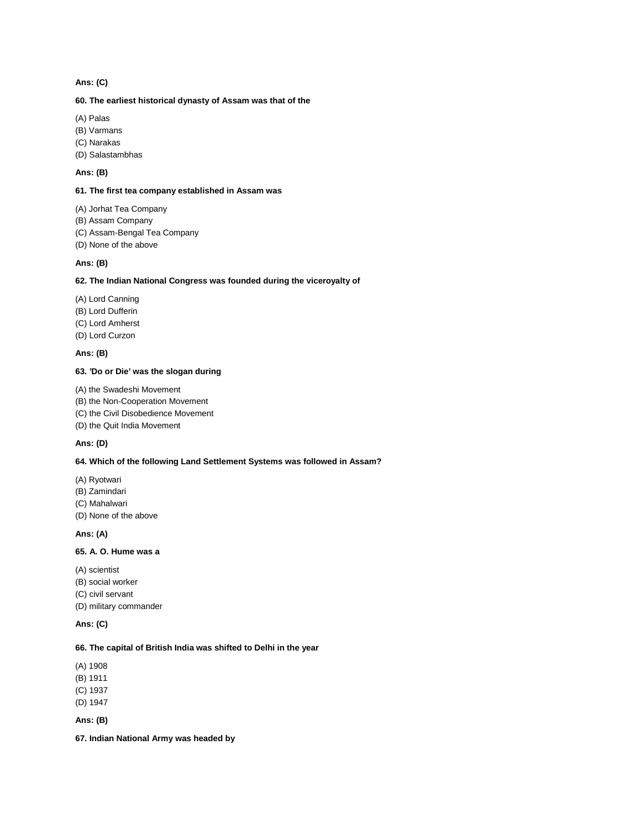### **Ans: (C)**

### **60. The earliest historical dynasty of Assam was that of the**

(A) Palas

(B) Varmans

(C) Narakas

(D) Salastambhas

### **Ans: (B)**

#### **61. The first tea company established in Assam was**

(A) Jorhat Tea Company

(B) Assam Company

(C) Assam-Bengal Tea Company

(D) None of the above

#### **Ans: (B)**

#### **62. The Indian National Congress was founded during the viceroyalty of**

(A) Lord Canning

(B) Lord Dufferin

(C) Lord Amherst

(D) Lord Curzon

#### **Ans: (B)**

### **63. 'Do or Die' was the slogan during**

- (A) the Swadeshi Movement
- (B) the Non-Cooperation Movement
- (C) the Civil Disobedience Movement
- (D) the Quit India Movement

### **Ans: (D)**

### **64. Which of the following Land Settlement Systems was followed in Assam?**

- (A) Ryotwari
- (B) Zamindari
- (C) Mahalwari
- (D) None of the above

## **Ans: (A)**

## **65. A. O. Hume was a**

- (A) scientist
- (B) social worker
- (C) civil servant

(D) military commander

### **Ans: (C)**

### **66. The capital of British India was shifted to Delhi in the year**

(A) 1908

(B) 1911

(C) 1937

(D) 1947

## **Ans: (B)**

**67. Indian National Army was headed by**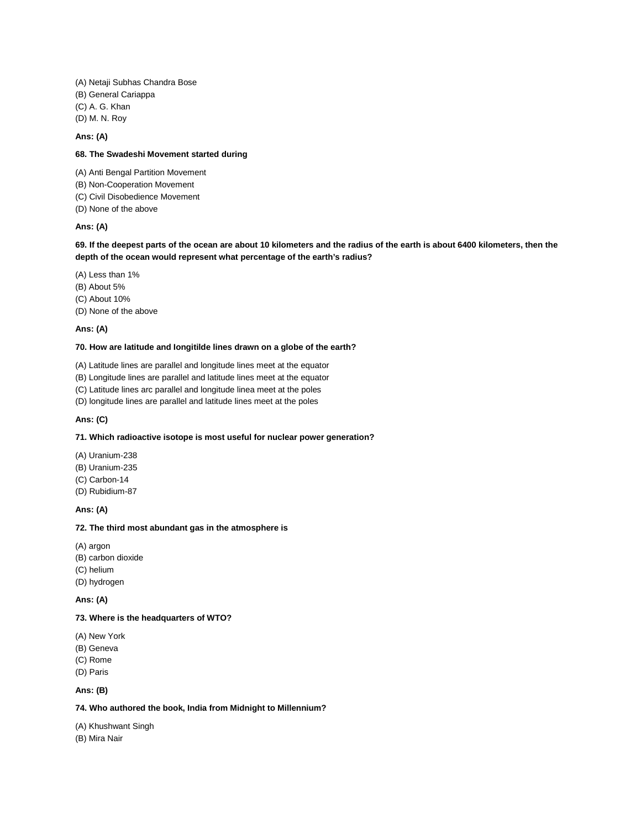(A) Netaji Subhas Chandra Bose (B) General Cariappa (C) A. G. Khan (D) M. N. Roy

#### **Ans: (A)**

### **68. The Swadeshi Movement started during**

- (A) Anti Bengal Partition Movement (B) Non-Cooperation Movement
- (C) Civil Disobedience Movement
- (D) None of the above

### **Ans: (A)**

### **69. If the deepest parts of the ocean are about 10 kilometers and the radius of the earth is about 6400 kilometers, then the depth of the ocean would represent what percentage of the earth's radius?**

- (A) Less than 1%
- (B) About 5%
- (C) About 10%
- (D) None of the above

#### **Ans: (A)**

#### **70. How are latitude and Iongitilde lines drawn on a globe of the earth?**

(A) Latitude lines are parallel and longitude lines meet at the equator

(B) Longitude lines are parallel and latitude lines meet at the equator

(C) Latitude lines arc parallel and longitude linea meet at the poles

(D) longitude lines are parallel and latitude lines meet at the poles

#### **Ans: (C)**

### **71. Which radioactive isotope is most useful for nuclear power generation?**

- (A) Uranium-238 (B) Uranium-235 (C) Carbon-14 (D) Rubidium-87
- 

## **Ans: (A)**

#### **72. The third most abundant gas in the atmosphere is**

- (A) argon
- (B) carbon dioxide
- (C) helium
- (D) hydrogen

**Ans: (A)**

#### **73. Where is the headquarters of WTO?**

- (A) New York
- (B) Geneva
- (C) Rome
- (D) Paris

## **Ans: (B)**

### **74. Who authored the book, India from Midnight to Millennium?**

(A) Khushwant Singh

(B) Mira Nair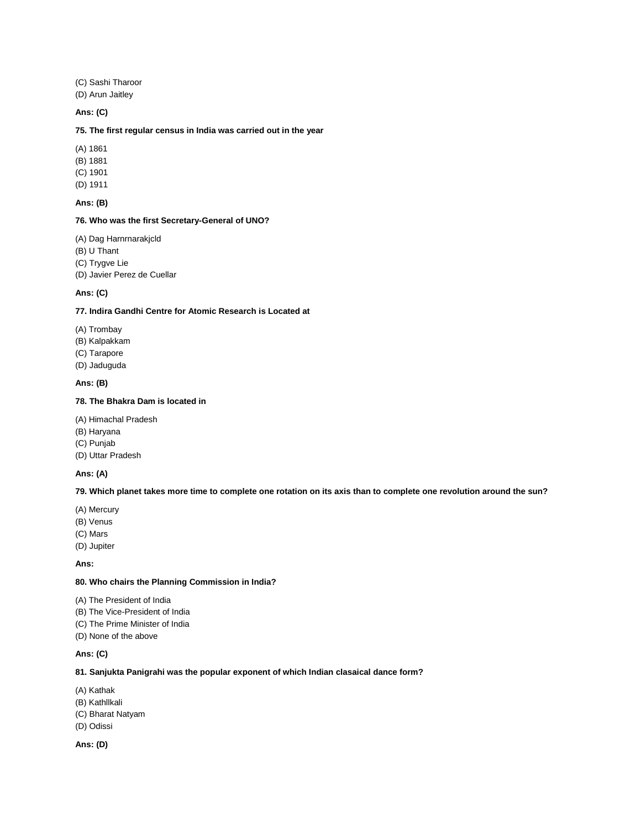(C) Sashi Tharoor (D) Arun Jaitley

#### **Ans: (C)**

#### **75. The first regular census in India was carried out in the year**

(A) 1861

(B) 1881

(C) 1901

(D) 1911

# **Ans: (B)**

### **76. Who was the first Secretary-General of UNO?**

(A) Dag Harnrnarakjcld (B) U Thant (C) Trygve Lie

(D) Javier Perez de Cuellar

### **Ans: (C)**

## **77. Indira Gandhi Centre for Atomic Research is Located at**

- (A) Trombay
- (B) Kalpakkam
- (C) Tarapore
- (D) Jaduguda

#### **Ans: (B)**

### **78. The Bhakra Dam is located in**

- (A) Himachal Pradesh
- (B) Haryana
- (C) Punjab
- (D) Uttar Pradesh

### **Ans: (A)**

### **79. Which planet takes more time to complete one rotation on its axis than to complete one revolution around the sun?**

- (A) Mercury
- (B) Venus
- (C) Mars
- (D) Jupiter

**Ans:**

### **80. Who chairs the Planning Commission in India?**

- (A) The President of India
- (B) The Vice-President of India
- (C) The Prime Minister of India
- (D) None of the above

### **Ans: (C)**

### **81. Sanjukta Panigrahi was the popular exponent of which Indian clasaical dance form?**

- (A) Kathak
- (B) Kathllkali
- (C) Bharat Natyam
- (D) Odissi

**Ans: (D)**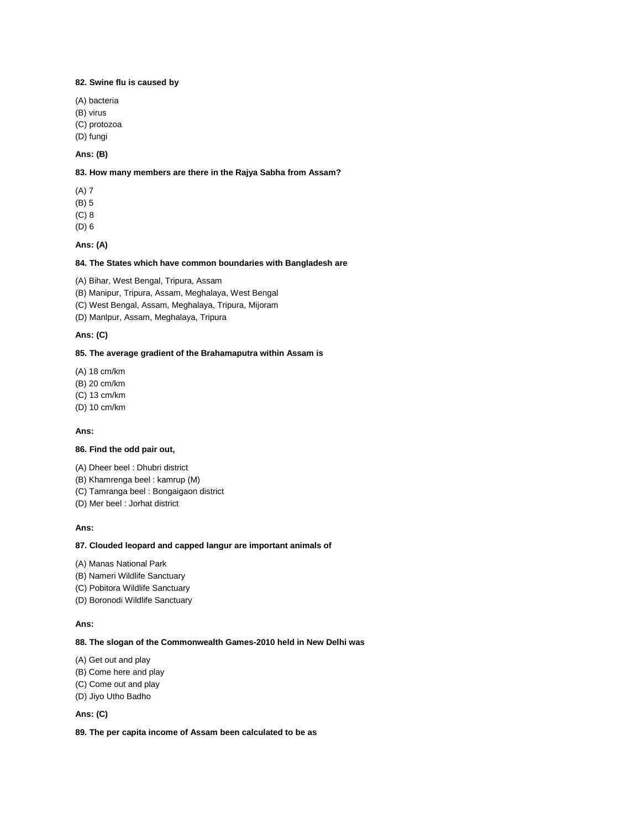### **82. Swine flu is caused by**

- (A) bacteria
- (B) virus
- (C) protozoa
- (D) fungi

# **Ans: (B)**

### **83. How many members are there in the Rajya Sabha from Assam?**

- (A) 7
- (B) 5
- (C) 8
- (D) 6

#### **Ans: (A)**

## **84. The States which have common boundaries with Bangladesh are**

(A) Bihar, West Bengal, Tripura, Assam

(B) Manipur, Tripura, Assam, Meghalaya, West Bengal

(C) West Bengal, Assam, Meghalaya, Tripura, Mijoram

(D) Manlpur, Assam, Meghalaya, Tripura

## **Ans: (C)**

#### **85. The average gradient of the Brahamaputra within Assam is**

(A) 18 cm/km

(B) 20 cm/km

(C) 13 cm/km

(D) 10 cm/km

#### **Ans:**

### **86. Find the odd pair out,**

- (A) Dheer beel : Dhubri district
- (B) Khamrenga beel : kamrup (M)
- (C) Tamranga beel : Bongaigaon district
- (D) Mer beel : Jorhat district

#### **Ans:**

#### **87. Clouded leopard and capped langur are important animals of**

- (A) Manas National Park
- (B) Nameri Wildlife Sanctuary
- (C) Pobitora Wildlife Sanctuary
- (D) Boronodi Wildlife Sanctuary

#### **Ans:**

#### **88. The slogan of the Commonwealth Games-2010 held in New Delhi was**

- (A) Get out and play
- (B) Come here and play
- (C) Come out and play
- (D) Jiyo Utho Badho

### **Ans: (C)**

#### **89. The per capita income of Assam been calculated to be as**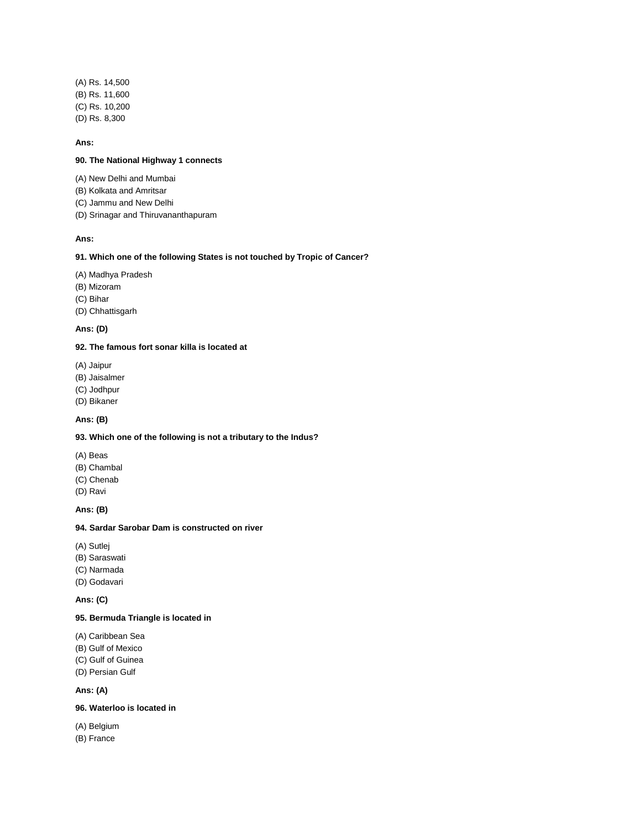(A) Rs. 14,500 (B) Rs. 11,600 (C) Rs. 10,200 (D) Rs. 8,300

#### **Ans:**

### **90. The National Highway 1 connects**

- (A) New Delhi and Mumbai
- (B) Kolkata and Amritsar
- (C) Jammu and New Delhi
- (D) Srinagar and Thiruvananthapuram

### **Ans:**

### **91. Which one of the following States is not touched by Tropic of Cancer?**

- (A) Madhya Pradesh
- (B) Mizoram

(C) Bihar

(D) Chhattisgarh

## **Ans: (D)**

## **92. The famous fort sonar killa is located at**

- (A) Jaipur
- (B) Jaisalmer
- (C) Jodhpur
- (D) Bikaner

### **Ans: (B)**

# **93. Which one of the following is not a tributary to the Indus?**

- (A) Beas
- (B) Chambal
- (C) Chenab
- (D) Ravi

#### **Ans: (B)**

#### **94. Sardar Sarobar Dam is constructed on river**

- (A) Sutlej
- (B) Saraswati
- (C) Narmada
- (D) Godavari

**Ans: (C)**

## **95. Bermuda Triangle is located in**

- (A) Caribbean Sea
- (B) Gulf of Mexico
- (C) Gulf of Guinea
- (D) Persian Gulf

# **Ans: (A)**

# **96. Waterloo is located in**

- (A) Belgium
- (B) France